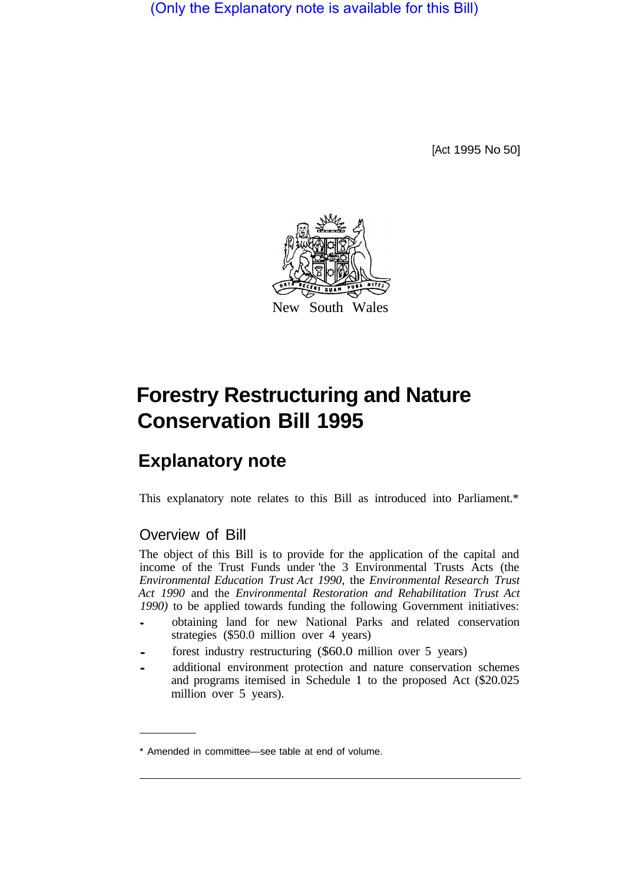(Only the Explanatory note is available for this Bill)

[Act 1995 No 50]



## **Forestry Restructuring and Nature Conservation Bill 1995**

## **Explanatory note**

This explanatory note relates to this Bill as introduced into Parliament.\*

## Overview of Bill

The object of this Bill is to provide for the application of the capital and income of the Trust Funds under 'the 3 Environmental Trusts Acts (the *Environmental Education Trust Act 1990,* the *Environmental Research Trust Act 1990* and the *Environmental Restoration and Rehabilitation Trust Act 1990)* to be applied towards funding the following Government initiatives:

- obtaining land for new National Parks and related conservation strategies (\$50.0 million over 4 years)
- forest industry restructuring (\$60.0 million over 5 years)
- additional environment protection and nature conservation schemes and programs itemised in Schedule **1** to the proposed Act (\$20.025 million over 5 years).

<sup>\*</sup> Amended in committee—see table at end of volume.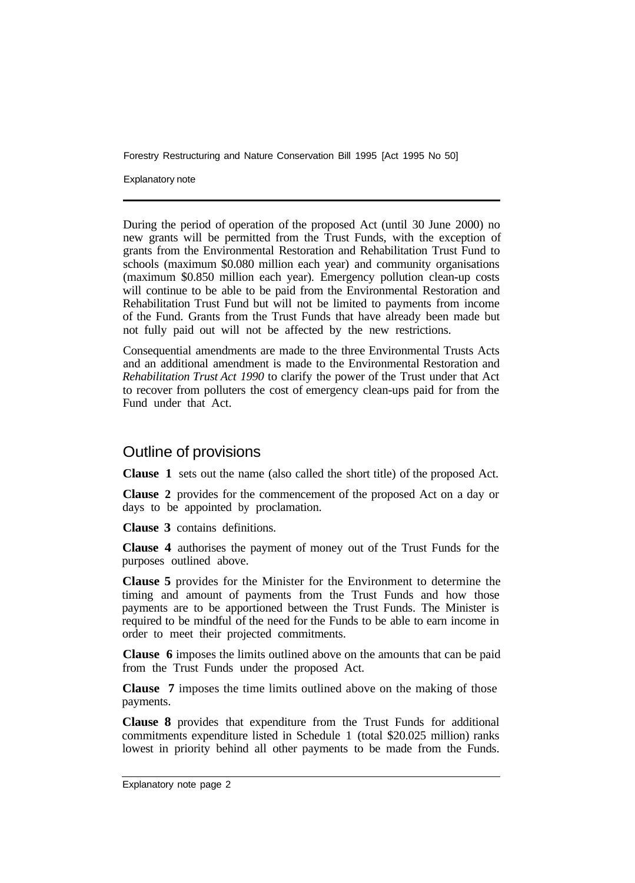Forestry Restructuring and Nature Conservation Bill 1995 [Act 1995 No 50]

Explanatory note

During the period of operation of the proposed Act (until 30 June 2000) no new grants will be permitted from the Trust Funds, with the exception of grants from the Environmental Restoration and Rehabilitation Trust Fund to schools (maximum \$0.080 million each year) and community organisations (maximum \$0.850 million each year). Emergency pollution clean-up costs will continue to be able to be paid from the Environmental Restoration and Rehabilitation Trust Fund but will not be limited to payments from income of the Fund. Grants from the Trust Funds that have already been made but not fully paid out will not be affected by the new restrictions.

Consequential amendments are made to the three Environmental Trusts Acts and an additional amendment is made to the Environmental Restoration and *Rehabilitation Trust Act 1990* to clarify the power of the Trust under that Act to recover from polluters the cost of emergency clean-ups paid for from the Fund under that Act.

## Outline of provisions

**Clause 1** sets out the name (also called the short title) of the proposed Act.

**Clause 2** provides for the commencement of the proposed Act on a day or days to be appointed by proclamation.

**Clause 3** contains definitions.

**Clause 4** authorises the payment of money out of the Trust Funds for the purposes outlined above.

**Clause 5** provides for the Minister for the Environment to determine the timing and amount of payments from the Trust Funds and how those payments are to be apportioned between the Trust Funds. The Minister is required to be mindful of the need for the Funds to be able to earn income in order to meet their projected commitments.

**Clause 6** imposes the limits outlined above on the amounts that can be paid from the Trust Funds under the proposed Act.

**Clause 7** imposes the time limits outlined above on the making of those payments.

**Clause 8** provides that expenditure from the Trust Funds for additional commitments expenditure listed in Schedule 1 (total \$20.025 million) ranks lowest in priority behind all other payments to be made from the Funds.

Explanatory note page 2